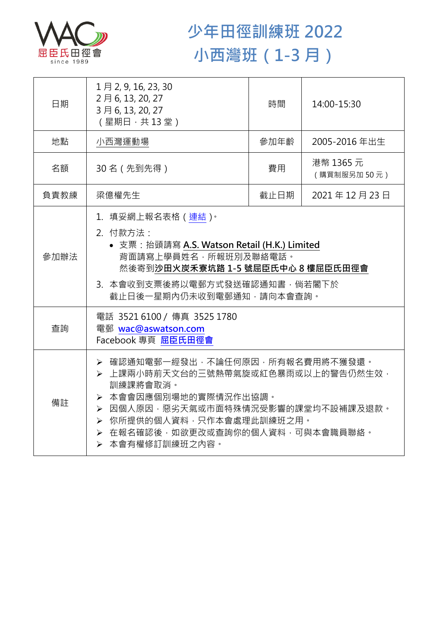

## **少年田徑訓練班 2022 小西灣班(1-3 月)**

| 日期   | 1月2, 9, 16, 23, 30<br>2月6, 13, 20, 27<br>3月6, 13, 20, 27<br>(星期日,共13堂)                                                                                                                                                                | 時間   | 14:00-15:30              |
|------|---------------------------------------------------------------------------------------------------------------------------------------------------------------------------------------------------------------------------------------|------|--------------------------|
| 地點   | 小西灣運動場                                                                                                                                                                                                                                | 參加年齡 | 2005-2016年出生             |
| 名額   | 30名 (先到先得)                                                                                                                                                                                                                            | 費用   | 港幣 1365 元<br>(購買制服另加50元) |
| 負責教練 | 梁億權先生                                                                                                                                                                                                                                 | 截止日期 | 2021年12月23日              |
| 參加辦法 | 1.填妥網上報名表格(連結) <sup>。</sup><br>2. 付款方法:<br>• 支票: 抬頭請寫 A.S. Watson Retail (H.K.) Limited<br>背面請寫上學員姓名,所報班別及聯絡電話。<br>然後寄到沙田火炭禾寮坑路 1-5 號屈臣氏中心 8 樓屈臣氏田徑會<br>3. 本會收到支票後將以電郵方式發送確認通知書,倘若閣下於<br>截止日後一星期內仍未收到電郵通知,請向本會查詢。                     |      |                          |
| 杳詢   | 電話 3521 6100 / 傳真 3525 1780<br>電郵 wac@aswatson.com<br>Facebook 專頁 屈臣氏田徑會                                                                                                                                                              |      |                          |
| 備註   | ▶ 確認通知電郵一經發出,不論任何原因,所有報名費用將不獲發還。<br>▶ 上課兩小時前天文台的三號熱帶氣旋或紅色暴雨或以上的警告仍然生效,<br>訓練課將會取消。<br>▶ 本會會因應個別場地的實際情況作出協調。<br>▶ 因個人原因,惡劣天氣或市面特殊情況受影響的課堂均不設補課及退款。<br>▶ 你所提供的個人資料,只作本會處理此訓練班之用。<br>▶ 在報名確認後,如欲更改或查詢你的個人資料,可與本會職員聯絡。<br>▶ 本會有權修訂訓練班之內容。 |      |                          |